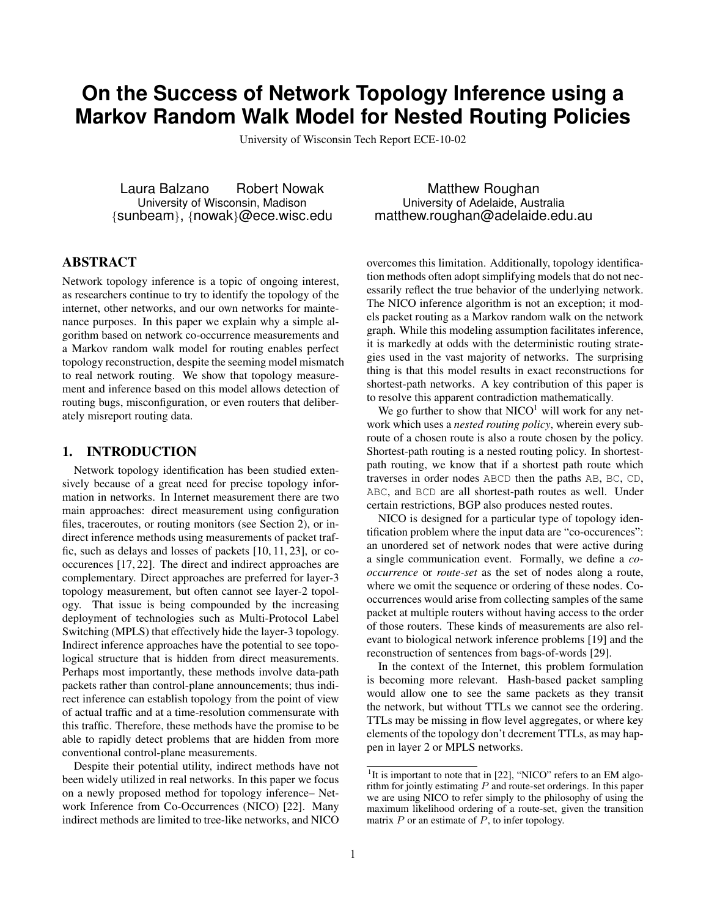# **On the Success of Network Topology Inference using a Markov Random Walk Model for Nested Routing Policies**

University of Wisconsin Tech Report ECE-10-02

Laura Balzano Robert Nowak University of Wisconsin, Madison {sunbeam}, {nowak}@ece.wisc.edu

ABSTRACT

Network topology inference is a topic of ongoing interest, as researchers continue to try to identify the topology of the internet, other networks, and our own networks for maintenance purposes. In this paper we explain why a simple algorithm based on network co-occurrence measurements and a Markov random walk model for routing enables perfect topology reconstruction, despite the seeming model mismatch to real network routing. We show that topology measurement and inference based on this model allows detection of routing bugs, misconfiguration, or even routers that deliberately misreport routing data.

## 1. INTRODUCTION

Network topology identification has been studied extensively because of a great need for precise topology information in networks. In Internet measurement there are two main approaches: direct measurement using configuration files, traceroutes, or routing monitors (see Section 2), or indirect inference methods using measurements of packet traffic, such as delays and losses of packets [10, 11, 23], or cooccurences [17, 22]. The direct and indirect approaches are complementary. Direct approaches are preferred for layer-3 topology measurement, but often cannot see layer-2 topology. That issue is being compounded by the increasing deployment of technologies such as Multi-Protocol Label Switching (MPLS) that effectively hide the layer-3 topology. Indirect inference approaches have the potential to see topological structure that is hidden from direct measurements. Perhaps most importantly, these methods involve data-path packets rather than control-plane announcements; thus indirect inference can establish topology from the point of view of actual traffic and at a time-resolution commensurate with this traffic. Therefore, these methods have the promise to be able to rapidly detect problems that are hidden from more conventional control-plane measurements.

Despite their potential utility, indirect methods have not been widely utilized in real networks. In this paper we focus on a newly proposed method for topology inference– Network Inference from Co-Occurrences (NICO) [22]. Many indirect methods are limited to tree-like networks, and NICO

Matthew Roughan University of Adelaide, Australia matthew.roughan@adelaide.edu.au

overcomes this limitation. Additionally, topology identification methods often adopt simplifying models that do not necessarily reflect the true behavior of the underlying network. The NICO inference algorithm is not an exception; it models packet routing as a Markov random walk on the network graph. While this modeling assumption facilitates inference, it is markedly at odds with the deterministic routing strategies used in the vast majority of networks. The surprising thing is that this model results in exact reconstructions for shortest-path networks. A key contribution of this paper is to resolve this apparent contradiction mathematically.

We go further to show that  $NICO<sup>1</sup>$  will work for any network which uses a *nested routing policy*, wherein every subroute of a chosen route is also a route chosen by the policy. Shortest-path routing is a nested routing policy. In shortestpath routing, we know that if a shortest path route which traverses in order nodes ABCD then the paths AB, BC, CD, ABC, and BCD are all shortest-path routes as well. Under certain restrictions, BGP also produces nested routes.

NICO is designed for a particular type of topology identification problem where the input data are "co-occurences": an unordered set of network nodes that were active during a single communication event. Formally, we define a *cooccurrence* or *route-set* as the set of nodes along a route, where we omit the sequence or ordering of these nodes. Cooccurrences would arise from collecting samples of the same packet at multiple routers without having access to the order of those routers. These kinds of measurements are also relevant to biological network inference problems [19] and the reconstruction of sentences from bags-of-words [29].

In the context of the Internet, this problem formulation is becoming more relevant. Hash-based packet sampling would allow one to see the same packets as they transit the network, but without TTLs we cannot see the ordering. TTLs may be missing in flow level aggregates, or where key elements of the topology don't decrement TTLs, as may happen in layer 2 or MPLS networks.

<sup>&</sup>lt;sup>1</sup>It is important to note that in [22], "NICO" refers to an EM algorithm for jointly estimating  $P$  and route-set orderings. In this paper we are using NICO to refer simply to the philosophy of using the maximum likelihood ordering of a route-set, given the transition matrix  $P$  or an estimate of  $P$ , to infer topology.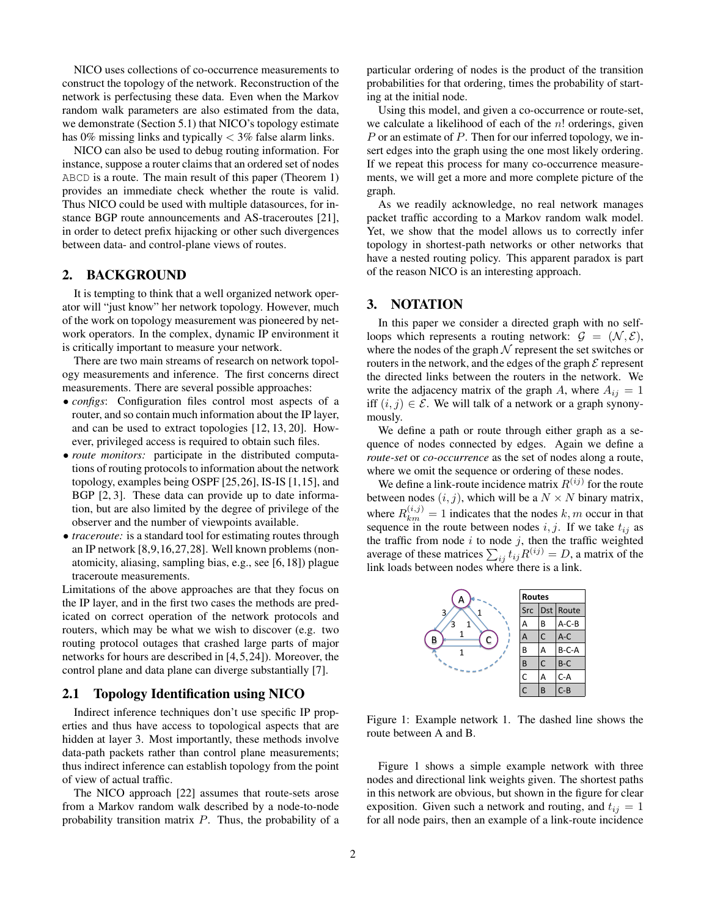NICO uses collections of co-occurrence measurements to construct the topology of the network. Reconstruction of the network is perfectusing these data. Even when the Markov random walk parameters are also estimated from the data, we demonstrate (Section 5.1) that NICO's topology estimate has 0% missing links and typically  $\langle 3\%$  false alarm links.

NICO can also be used to debug routing information. For instance, suppose a router claims that an ordered set of nodes ABCD is a route. The main result of this paper (Theorem 1) provides an immediate check whether the route is valid. Thus NICO could be used with multiple datasources, for instance BGP route announcements and AS-traceroutes [21], in order to detect prefix hijacking or other such divergences between data- and control-plane views of routes.

#### 2. BACKGROUND

It is tempting to think that a well organized network operator will "just know" her network topology. However, much of the work on topology measurement was pioneered by network operators. In the complex, dynamic IP environment it is critically important to measure your network.

There are two main streams of research on network topology measurements and inference. The first concerns direct measurements. There are several possible approaches:

- *configs*: Configuration files control most aspects of a router, and so contain much information about the IP layer, and can be used to extract topologies [12, 13, 20]. However, privileged access is required to obtain such files.
- *route monitors:* participate in the distributed computations of routing protocols to information about the network topology, examples being OSPF [25,26], IS-IS [1,15], and BGP [2, 3]. These data can provide up to date information, but are also limited by the degree of privilege of the observer and the number of viewpoints available.
- *traceroute:* is a standard tool for estimating routes through an IP network [8,9,16,27,28]. Well known problems (nonatomicity, aliasing, sampling bias, e.g., see [6, 18]) plague traceroute measurements.

Limitations of the above approaches are that they focus on the IP layer, and in the first two cases the methods are predicated on correct operation of the network protocols and routers, which may be what we wish to discover (e.g. two routing protocol outages that crashed large parts of major networks for hours are described in [4,5,24]). Moreover, the control plane and data plane can diverge substantially [7].

#### 2.1 Topology Identification using NICO

Indirect inference techniques don't use specific IP properties and thus have access to topological aspects that are hidden at layer 3. Most importantly, these methods involve data-path packets rather than control plane measurements; thus indirect inference can establish topology from the point of view of actual traffic.

The NICO approach [22] assumes that route-sets arose from a Markov random walk described by a node-to-node probability transition matrix  $P$ . Thus, the probability of a particular ordering of nodes is the product of the transition probabilities for that ordering, times the probability of starting at the initial node.

Using this model, and given a co-occurrence or route-set, we calculate a likelihood of each of the  $n!$  orderings, given P or an estimate of P. Then for our inferred topology, we insert edges into the graph using the one most likely ordering. If we repeat this process for many co-occurrence measurements, we will get a more and more complete picture of the graph.

As we readily acknowledge, no real network manages packet traffic according to a Markov random walk model. Yet, we show that the model allows us to correctly infer topology in shortest-path networks or other networks that have a nested routing policy. This apparent paradox is part of the reason NICO is an interesting approach.

#### 3. NOTATION

In this paper we consider a directed graph with no selfloops which represents a routing network:  $\mathcal{G} = (\mathcal{N}, \mathcal{E}),$ where the nodes of the graph  $N$  represent the set switches or routers in the network, and the edges of the graph  $\mathcal E$  represent the directed links between the routers in the network. We write the adjacency matrix of the graph A, where  $A_{ij} = 1$ iff  $(i, j) \in \mathcal{E}$ . We will talk of a network or a graph synonymously.

We define a path or route through either graph as a sequence of nodes connected by edges. Again we define a *route-set* or *co-occurrence* as the set of nodes along a route, where we omit the sequence or ordering of these nodes.

We define a link-route incidence matrix  $R^{(ij)}$  for the route between nodes  $(i, j)$ , which will be a  $N \times N$  binary matrix, where  $R_{km}^{(i,j)} = 1$  indicates that the nodes k, m occur in that sequence in the route between nodes  $i, j$ . If we take  $t_{ij}$  as the traffic from node  $i$  to node  $j$ , then the traffic weighted average of these matrices  $\sum_{ij} t_{ij} R^{(ij)} = D$ , a matrix of the link loads between nodes where there is a link.



Figure 1: Example network 1. The dashed line shows the route between A and B.

Figure 1 shows a simple example network with three nodes and directional link weights given. The shortest paths in this network are obvious, but shown in the figure for clear exposition. Given such a network and routing, and  $t_{ij} = 1$ for all node pairs, then an example of a link-route incidence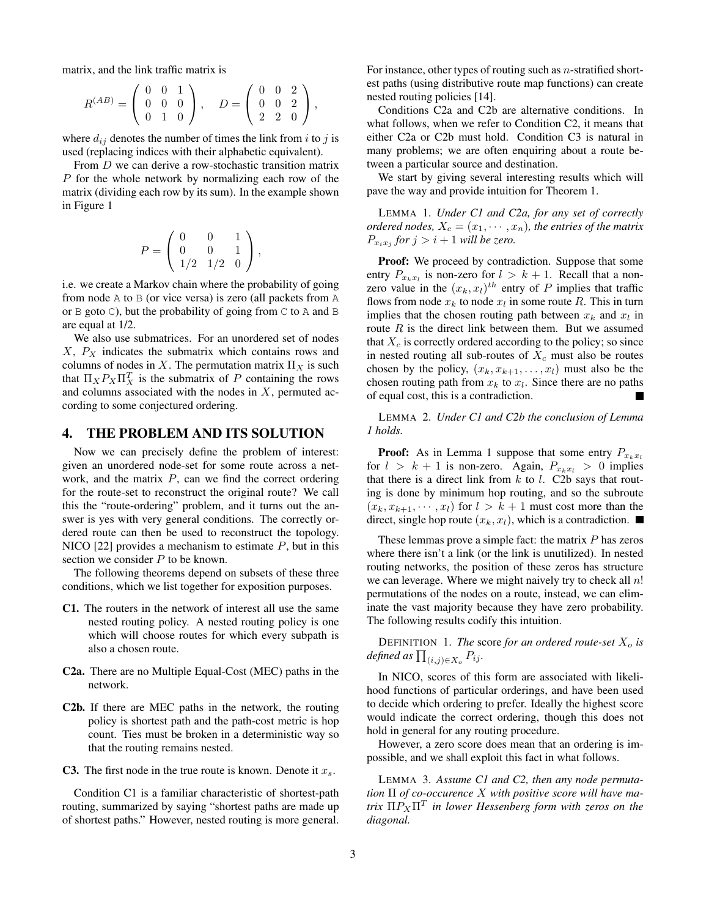matrix, and the link traffic matrix is

$$
R^{(AB)} = \begin{pmatrix} 0 & 0 & 1 \\ 0 & 0 & 0 \\ 0 & 1 & 0 \end{pmatrix}, \quad D = \begin{pmatrix} 0 & 0 & 2 \\ 0 & 0 & 2 \\ 2 & 2 & 0 \end{pmatrix},
$$

where  $d_{ij}$  denotes the number of times the link from i to j is used (replacing indices with their alphabetic equivalent).

From D we can derive a row-stochastic transition matrix P for the whole network by normalizing each row of the matrix (dividing each row by its sum). In the example shown in Figure 1

$$
P = \left(\begin{array}{ccc} 0 & 0 & 1 \\ 0 & 0 & 1 \\ 1/2 & 1/2 & 0 \end{array}\right),
$$

i.e. we create a Markov chain where the probability of going from node A to B (or vice versa) is zero (all packets from A or B goto C), but the probability of going from C to A and B are equal at 1/2.

We also use submatrices. For an unordered set of nodes  $X$ ,  $P_X$  indicates the submatrix which contains rows and columns of nodes in X. The permutation matrix  $\Pi_X$  is such that  $\Pi_X P_X \Pi_X^T$  is the submatrix of P containing the rows and columns associated with the nodes in  $X$ , permuted according to some conjectured ordering.

#### 4. THE PROBLEM AND ITS SOLUTION

Now we can precisely define the problem of interest: given an unordered node-set for some route across a network, and the matrix  $P$ , can we find the correct ordering for the route-set to reconstruct the original route? We call this the "route-ordering" problem, and it turns out the answer is yes with very general conditions. The correctly ordered route can then be used to reconstruct the topology. NICO [22] provides a mechanism to estimate  $P$ , but in this section we consider  $P$  to be known.

The following theorems depend on subsets of these three conditions, which we list together for exposition purposes.

- C1. The routers in the network of interest all use the same nested routing policy. A nested routing policy is one which will choose routes for which every subpath is also a chosen route.
- C2a. There are no Multiple Equal-Cost (MEC) paths in the network.
- C2b. If there are MEC paths in the network, the routing policy is shortest path and the path-cost metric is hop count. Ties must be broken in a deterministic way so that the routing remains nested.

**C3.** The first node in the true route is known. Denote it  $x_s$ .

Condition C1 is a familiar characteristic of shortest-path routing, summarized by saying "shortest paths are made up of shortest paths." However, nested routing is more general.

For instance, other types of routing such as  $n$ -stratified shortest paths (using distributive route map functions) can create nested routing policies [14].

Conditions C2a and C2b are alternative conditions. In what follows, when we refer to Condition C2, it means that either C2a or C2b must hold. Condition C3 is natural in many problems; we are often enquiring about a route between a particular source and destination.

We start by giving several interesting results which will pave the way and provide intuition for Theorem 1.

LEMMA 1. *Under C1 and C2a, for any set of correctly ordered nodes,*  $X_c = (x_1, \dots, x_n)$ *, the entries of the matrix*  $P_{x_ix_j}$  for  $j > i + 1$  will be zero.

Proof: We proceed by contradiction. Suppose that some entry  $P_{x_k x_l}$  is non-zero for  $l > k + 1$ . Recall that a nonzero value in the  $(x_k, x_l)^{th}$  entry of P implies that traffic flows from node  $x_k$  to node  $x_l$  in some route R. This in turn implies that the chosen routing path between  $x_k$  and  $x_l$  in route  $R$  is the direct link between them. But we assumed that  $X_c$  is correctly ordered according to the policy; so since in nested routing all sub-routes of  $X_c$  must also be routes chosen by the policy,  $(x_k, x_{k+1}, \ldots, x_l)$  must also be the chosen routing path from  $x_k$  to  $x_l$ . Since there are no paths of equal cost, this is a contradiction.

LEMMA 2. *Under C1 and C2b the conclusion of Lemma 1 holds.*

**Proof:** As in Lemma 1 suppose that some entry  $P_{x_kx_l}$ for  $l > k + 1$  is non-zero. Again,  $P_{x_k x_l} > 0$  implies that there is a direct link from  $k$  to  $l$ . C2b says that routing is done by minimum hop routing, and so the subroute  $(x_k, x_{k+1}, \dots, x_l)$  for  $l > k+1$  must cost more than the direct, single hop route  $(x_k, x_l)$ , which is a contradiction.

These lemmas prove a simple fact: the matrix  $P$  has zeros where there isn't a link (or the link is unutilized). In nested routing networks, the position of these zeros has structure we can leverage. Where we might naively try to check all  $n!$ permutations of the nodes on a route, instead, we can eliminate the vast majority because they have zero probability. The following results codify this intuition.

DEFINITION 1. *The* score *for an ordered route-set*  $X_o$  *is defined as*  $\prod_{(i,j)\in X_o} P_{ij}$ *.* 

In NICO, scores of this form are associated with likelihood functions of particular orderings, and have been used to decide which ordering to prefer. Ideally the highest score would indicate the correct ordering, though this does not hold in general for any routing procedure.

However, a zero score does mean that an ordering is impossible, and we shall exploit this fact in what follows.

LEMMA 3. *Assume C1 and C2, then any node permutation* Π *of co-occurence* X *with positive score will have ma* $t$ rix  $\Pi P_X \Pi^T$  in lower Hessenberg form with zeros on the *diagonal.*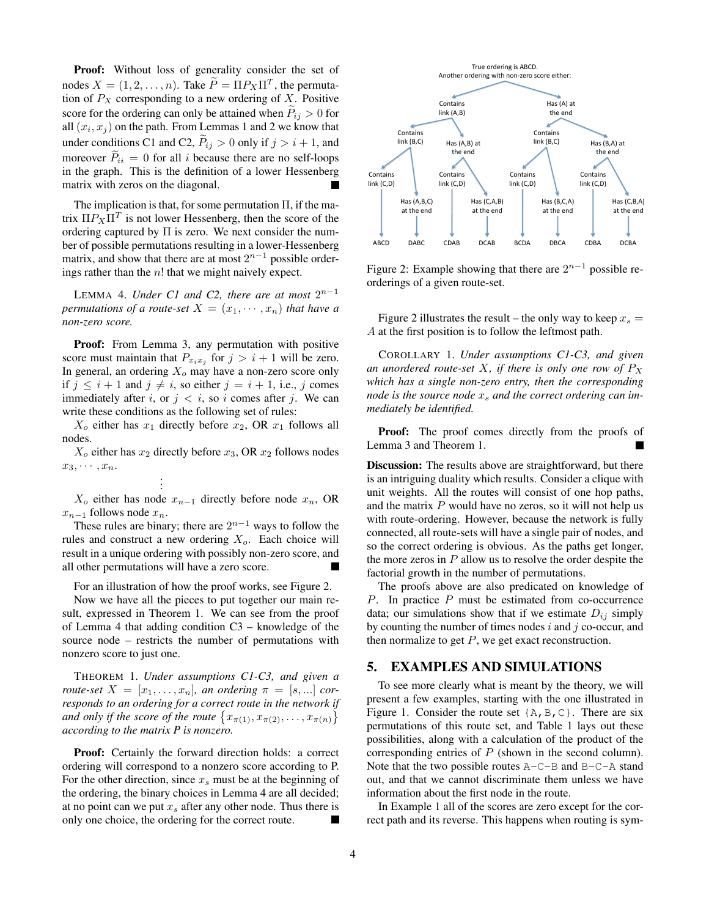Proof: Without loss of generality consider the set of nodes  $X = (1, 2, ..., n)$ . Take  $\tilde{P} = \Pi P_X \Pi^T$ , the permutation of  $P_X$  corresponding to a new ordering of  $X$ . Positive score for the ordering can only be attained when  $\ddot{P}_{ij} > 0$  for all  $(x_i, x_j)$  on the path. From Lemmas 1 and 2 we know that under conditions C1 and C2,  $\tilde{P}_{ij} > 0$  only if  $j > i + 1$ , and moreover  $\widetilde{P}_{ii} = 0$  for all i because there are no self-loops in the graph. This is the definition of a lower Hessenberg matrix with zeros on the diagonal.

The implication is that, for some permutation  $\Pi$ , if the matrix  $\Pi P_X \Pi^T$  is not lower Hessenberg, then the score of the ordering captured by Π is zero. We next consider the number of possible permutations resulting in a lower-Hessenberg matrix, and show that there are at most  $2^{n-1}$  possible orderings rather than the  $n!$  that we might naively expect.

 $LEMMA$  4. *Under C1 and C2, there are at most*  $2^{n-1}$ *permutations of a route-set*  $X = (x_1, \dots, x_n)$  *that have a non-zero score.*

**Proof:** From Lemma 3, any permutation with positive score must maintain that  $P_{x_ix_j}$  for  $j > i + 1$  will be zero. In general, an ordering  $X<sub>o</sub>$  may have a non-zero score only if  $j \leq i + 1$  and  $j \neq i$ , so either  $j = i + 1$ , i.e., j comes immediately after i, or  $j < i$ , so i comes after j. We can write these conditions as the following set of rules:

 $X_o$  either has  $x_1$  directly before  $x_2$ , OR  $x_1$  follows all nodes.

 $X<sub>o</sub>$  either has  $x<sub>2</sub>$  directly before  $x<sub>3</sub>$ , OR  $x<sub>2</sub>$  follows nodes  $x_3, \cdots, x_n$ . .

. .

 $X<sub>o</sub>$  either has node  $x<sub>n-1</sub>$  directly before node  $x<sub>n</sub>$ , OR  $x_{n-1}$  follows node  $x_n$ .

These rules are binary; there are  $2^{n-1}$  ways to follow the rules and construct a new ordering  $X<sub>o</sub>$ . Each choice will result in a unique ordering with possibly non-zero score, and all other permutations will have a zero score.

For an illustration of how the proof works, see Figure 2.

Now we have all the pieces to put together our main result, expressed in Theorem 1. We can see from the proof of Lemma 4 that adding condition C3 – knowledge of the source node – restricts the number of permutations with nonzero score to just one.

THEOREM 1. *Under assumptions C1-C3, and given a route-set*  $X = [x_1, \ldots, x_n]$ *, an ordering*  $\pi = [s, \ldots]$  *corresponds to an ordering for a correct route in the network if* and only if the score of the route  $\{x_{\pi(1)}, x_{\pi(2)}, \ldots, x_{\pi(n)}\}$ *according to the matrix P is nonzero.*

Proof: Certainly the forward direction holds: a correct ordering will correspond to a nonzero score according to P. For the other direction, since  $x_s$  must be at the beginning of the ordering, the binary choices in Lemma 4 are all decided; at no point can we put  $x_s$  after any other node. Thus there is only one choice, the ordering for the correct route. ■



Figure 2: Example showing that there are  $2^{n-1}$  possible reorderings of a given route-set.

Figure 2 illustrates the result – the only way to keep  $x_s =$ A at the first position is to follow the leftmost path.

COROLLARY 1. *Under assumptions C1-C3, and given an unordered route-set*  $X$ *, if there is only one row of*  $P_X$ *which has a single non-zero entry, then the corresponding node is the source node*  $x_s$  *and the correct ordering can immediately be identified.*

Proof: The proof comes directly from the proofs of Lemma 3 and Theorem 1.

Discussion: The results above are straightforward, but there is an intriguing duality which results. Consider a clique with unit weights. All the routes will consist of one hop paths, and the matrix  $P$  would have no zeros, so it will not help us with route-ordering. However, because the network is fully connected, all route-sets will have a single pair of nodes, and so the correct ordering is obvious. As the paths get longer, the more zeros in  $P$  allow us to resolve the order despite the factorial growth in the number of permutations.

The proofs above are also predicated on knowledge of P. In practice P must be estimated from co-occurrence data; our simulations show that if we estimate  $D_{ij}$  simply by counting the number of times nodes  $i$  and  $j$  co-occur, and then normalize to get  $P$ , we get exact reconstruction.

#### 5. EXAMPLES AND SIMULATIONS

To see more clearly what is meant by the theory, we will present a few examples, starting with the one illustrated in Figure 1. Consider the route set  $\{A, B, C\}$ . There are six permutations of this route set, and Table 1 lays out these possibilities, along with a calculation of the product of the corresponding entries of  $P$  (shown in the second column). Note that the two possible routes  $A - C - B$  and  $B - C - A$  stand out, and that we cannot discriminate them unless we have information about the first node in the route.

In Example 1 all of the scores are zero except for the correct path and its reverse. This happens when routing is sym-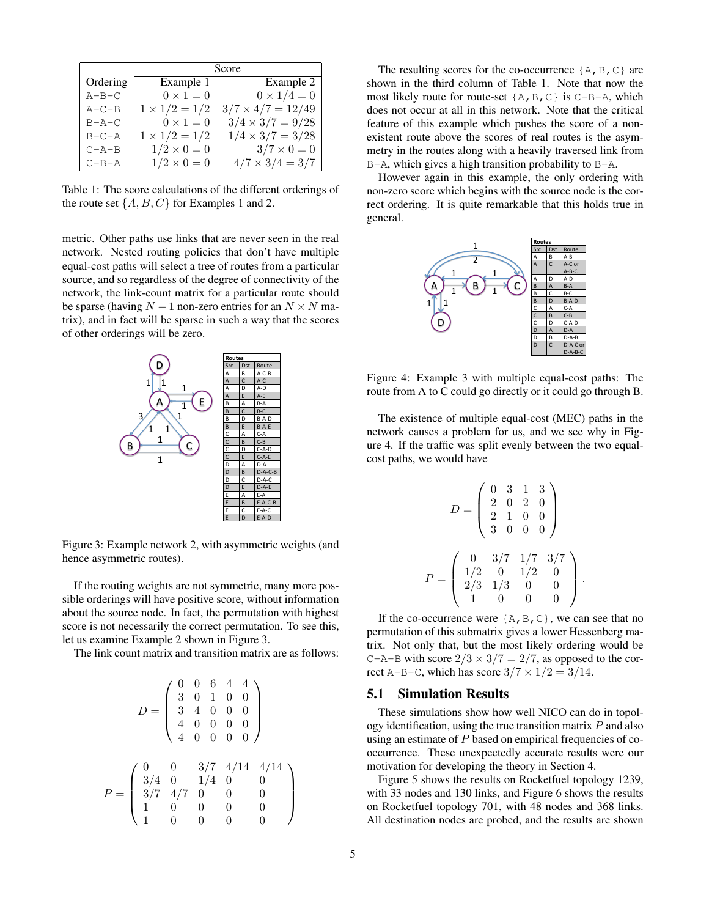|             | Score                |                          |  |  |  |  |  |  |
|-------------|----------------------|--------------------------|--|--|--|--|--|--|
| Ordering    | Example 1            | Example 2                |  |  |  |  |  |  |
| $A-B-C$     | $0 \times 1 = 0$     | $0 \times 1/4 = 0$       |  |  |  |  |  |  |
| $A-C-B$     | $1 \times 1/2 = 1/2$ | $3/7 \times 4/7 = 12/49$ |  |  |  |  |  |  |
| $B - A - C$ | $0\times 1=0$        | $3/4 \times 3/7 = 9/28$  |  |  |  |  |  |  |
| $B - C - A$ | $1 \times 1/2 = 1/2$ | $1/4 \times 3/7 = 3/28$  |  |  |  |  |  |  |
| $C - A - B$ | $1/2 \times 0 = 0$   | $3/7 \times 0 = 0$       |  |  |  |  |  |  |
| $C-B-A$     | $1/2 \times 0 = 0$   | $4/7 \times 3/4 = 3/7$   |  |  |  |  |  |  |

Table 1: The score calculations of the different orderings of the route set  $\{A, B, C\}$  for Examples 1 and 2.

metric. Other paths use links that are never seen in the real network. Nested routing policies that don't have multiple equal-cost paths will select a tree of routes from a particular source, and so regardless of the degree of connectivity of the network, the link-count matrix for a particular route should be sparse (having  $N - 1$  non-zero entries for an  $N \times N$  matrix), and in fact will be sparse in such a way that the scores of other orderings will be zero.



Figure 3: Example network 2, with asymmetric weights (and hence asymmetric routes).

If the routing weights are not symmetric, many more possible orderings will have positive score, without information about the source node. In fact, the permutation with highest score is not necessarily the correct permutation. To see this, let us examine Example 2 shown in Figure 3.

The link count matrix and transition matrix are as follows:

$$
D = \begin{pmatrix} 0 & 0 & 6 & 4 & 4 \\ 3 & 0 & 1 & 0 & 0 \\ 3 & 4 & 0 & 0 & 0 \\ 4 & 0 & 0 & 0 & 0 \\ 4 & 0 & 0 & 0 & 0 \end{pmatrix}
$$

$$
P = \begin{pmatrix} 0 & 0 & 3/7 & 4/14 & 4/14 \\ 3/4 & 0 & 1/4 & 0 & 0 \\ 3/7 & 4/7 & 0 & 0 & 0 \\ 1 & 0 & 0 & 0 & 0 & 0 \\ 1 & 0 & 0 & 0 & 0 & 0 \end{pmatrix}
$$

The resulting scores for the co-occurrence  ${A, B, C}$  are shown in the third column of Table 1. Note that now the most likely route for route-set  ${A, B, C}$  is C-B-A, which does not occur at all in this network. Note that the critical feature of this example which pushes the score of a nonexistent route above the scores of real routes is the asymmetry in the routes along with a heavily traversed link from B-A, which gives a high transition probability to B-A.

However again in this example, the only ordering with non-zero score which begins with the source node is the correct ordering. It is quite remarkable that this holds true in general.



Figure 4: Example 3 with multiple equal-cost paths: The route from A to C could go directly or it could go through B.

The existence of multiple equal-cost (MEC) paths in the network causes a problem for us, and we see why in Figure 4. If the traffic was split evenly between the two equalcost paths, we would have

$$
D = \begin{pmatrix} 0 & 3 & 1 & 3 \\ 2 & 0 & 2 & 0 \\ 2 & 1 & 0 & 0 \\ 3 & 0 & 0 & 0 \end{pmatrix}
$$

$$
P = \begin{pmatrix} 0 & 3/7 & 1/7 & 3/7 \\ 1/2 & 0 & 1/2 & 0 \\ 2/3 & 1/3 & 0 & 0 \\ 1 & 0 & 0 & 0 \end{pmatrix}.
$$

If the co-occurrence were  ${A, B, C}$ , we can see that no permutation of this submatrix gives a lower Hessenberg matrix. Not only that, but the most likely ordering would be C-A-B with score  $2/3 \times 3/7 = 2/7$ , as opposed to the correct A-B-C, which has score  $3/7 \times 1/2 = 3/14$ .

#### 5.1 Simulation Results

These simulations show how well NICO can do in topology identification, using the true transition matrix  $P$  and also using an estimate of P based on empirical frequencies of cooccurrence. These unexpectedly accurate results were our motivation for developing the theory in Section 4.

Figure 5 shows the results on Rocketfuel topology 1239, with 33 nodes and 130 links, and Figure 6 shows the results on Rocketfuel topology 701, with 48 nodes and 368 links. All destination nodes are probed, and the results are shown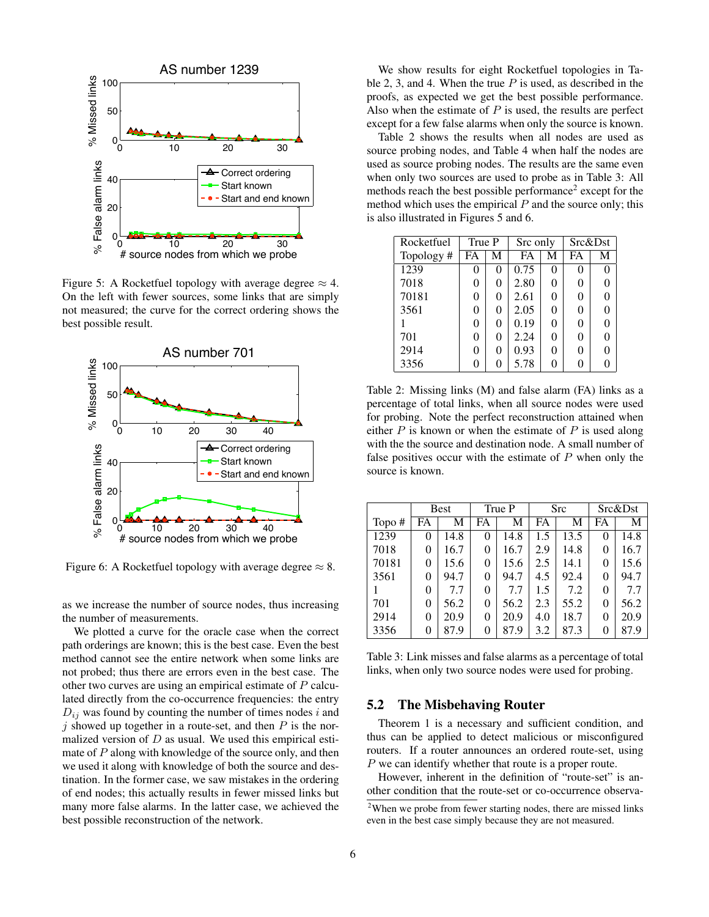

Figure 5: A Rocketfuel topology with average degree  $\approx$  4. On the left with fewer sources, some links that are simply not measured; the curve for the correct ordering shows the best possible result.



Figure 6: A Rocketfuel topology with average degree  $\approx 8$ .

as we increase the number of source nodes, thus increasing the number of measurements.

We plotted a curve for the oracle case when the correct path orderings are known; this is the best case. Even the best method cannot see the entire network when some links are not probed; thus there are errors even in the best case. The other two curves are using an empirical estimate of  $P$  calculated directly from the co-occurrence frequencies: the entry  $D_{ij}$  was found by counting the number of times nodes i and  $j$  showed up together in a route-set, and then  $P$  is the normalized version of  $D$  as usual. We used this empirical estimate of  $P$  along with knowledge of the source only, and then we used it along with knowledge of both the source and destination. In the former case, we saw mistakes in the ordering of end nodes; this actually results in fewer missed links but many more false alarms. In the latter case, we achieved the best possible reconstruction of the network.

We show results for eight Rocketfuel topologies in Table 2, 3, and 4. When the true  $P$  is used, as described in the proofs, as expected we get the best possible performance. Also when the estimate of  $P$  is used, the results are perfect except for a few false alarms when only the source is known.

Table 2 shows the results when all nodes are used as source probing nodes, and Table 4 when half the nodes are used as source probing nodes. The results are the same even when only two sources are used to probe as in Table 3: All methods reach the best possible performance<sup>2</sup> except for the method which uses the empirical  $P$  and the source only; this is also illustrated in Figures 5 and 6.

| Rocketfuel | True P |   | Src only |   | Src&Dst |   |
|------------|--------|---|----------|---|---------|---|
| Topology#  | FA     | М | FA       | M | FA      | М |
| 1239       | 0      | 0 | 0.75     | 0 | 0       |   |
| 7018       | 0      | 0 | 2.80     | 0 | 0       |   |
| 70181      | 0      | 0 | 2.61     | 0 | 0       |   |
| 3561       | 0      | 0 | 2.05     | 0 | 0       |   |
|            | 0      | 0 | 0.19     | 0 | 0       |   |
| 701        | 0      | 0 | 2.24     | 0 | 0       |   |
| 2914       | 0      | 0 | 0.93     | 0 | 0       |   |
| 3356       | 0      | 0 | 5.78     | 0 | 0       |   |

Table 2: Missing links (M) and false alarm (FA) links as a percentage of total links, when all source nodes were used for probing. Note the perfect reconstruction attained when either  $P$  is known or when the estimate of  $P$  is used along with the the source and destination node. A small number of false positives occur with the estimate of  $P$  when only the source is known.

|       |          | Best | True P |      | Src |      | Src&Dst  |      |
|-------|----------|------|--------|------|-----|------|----------|------|
| Topo# | FA       | М    | FA     | М    | FA  | М    | FA       | M    |
| 1239  | $\theta$ | 14.8 | 0      | 14.8 | 1.5 | 13.5 | $\theta$ | 14.8 |
| 7018  | 0        | 16.7 | 0      | 16.7 | 2.9 | 14.8 | 0        | 16.7 |
| 70181 | 0        | 15.6 | 0      | 15.6 | 2.5 | 14.1 | 0        | 15.6 |
| 3561  | 0        | 94.7 | 0      | 94.7 | 4.5 | 92.4 | 0        | 94.7 |
|       | 0        | 7.7  | 0      | 7.7  | 1.5 | 7.2  | 0        | 7.7  |
| 701   | 0        | 56.2 | 0      | 56.2 | 2.3 | 55.2 | 0        | 56.2 |
| 2914  | 0        | 20.9 | 0      | 20.9 | 4.0 | 18.7 | 0        | 20.9 |
| 3356  | 0        | 87.9 | 0      | 87.9 | 3.2 | 87.3 | 0        | 87.9 |

Table 3: Link misses and false alarms as a percentage of total links, when only two source nodes were used for probing.

#### 5.2 The Misbehaving Router

Theorem 1 is a necessary and sufficient condition, and thus can be applied to detect malicious or misconfigured routers. If a router announces an ordered route-set, using P we can identify whether that route is a proper route.

However, inherent in the definition of "route-set" is another condition that the route-set or co-occurrence observa-

<sup>&</sup>lt;sup>2</sup>When we probe from fewer starting nodes, there are missed links even in the best case simply because they are not measured.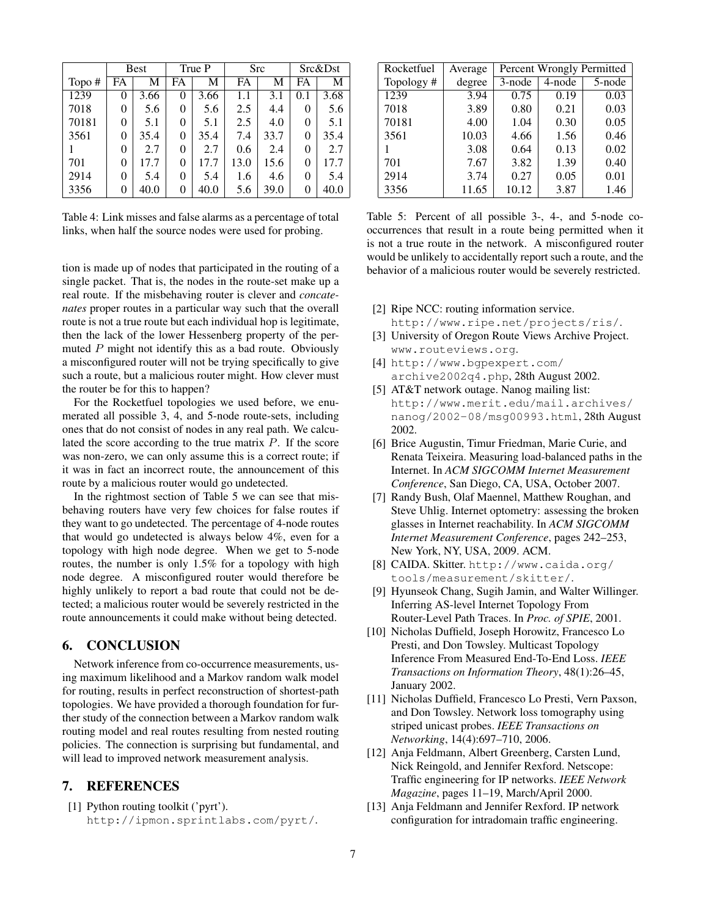|       |    | Best | True P |      | Src  |      | Src&Dst        |      |
|-------|----|------|--------|------|------|------|----------------|------|
| Topo# | FA | М    | FA     | М    | FA   | М    | FA             | М    |
| 1239  | 0  | 3.66 | 0      | 3.66 | 1.1  | 3.1  | 0.1            | 3.68 |
| 7018  | 0  | 5.6  | 0      | 5.6  | 2.5  | 4.4  | 0              | 5.6  |
| 70181 | 0  | 5.1  | 0      | 5.1  | 2.5  | 4.0  | 0              | 5.1  |
| 3561  | 0  | 35.4 | 0      | 35.4 | 7.4  | 33.7 | $\overline{0}$ | 35.4 |
|       | 0  | 2.7  | 0      | 2.7  | 0.6  | 2.4  | 0              | 2.7  |
| 701   | 0  | 17.7 | 0      | 17.7 | 13.0 | 15.6 | 0              | 17.7 |
| 2914  | 0  | 5.4  | 0      | 5.4  | 1.6  | 4.6  | 0              | 5.4  |
| 3356  | 0  | 40.0 | 0      | 40.0 | 5.6  | 39.0 | 0              | 40.0 |

Table 4: Link misses and false alarms as a percentage of total links, when half the source nodes were used for probing.

tion is made up of nodes that participated in the routing of a single packet. That is, the nodes in the route-set make up a real route. If the misbehaving router is clever and *concatenates* proper routes in a particular way such that the overall route is not a true route but each individual hop is legitimate, then the lack of the lower Hessenberg property of the permuted  $P$  might not identify this as a bad route. Obviously a misconfigured router will not be trying specifically to give such a route, but a malicious router might. How clever must the router be for this to happen?

For the Rocketfuel topologies we used before, we enumerated all possible 3, 4, and 5-node route-sets, including ones that do not consist of nodes in any real path. We calculated the score according to the true matrix  $P$ . If the score was non-zero, we can only assume this is a correct route; if it was in fact an incorrect route, the announcement of this route by a malicious router would go undetected.

In the rightmost section of Table 5 we can see that misbehaving routers have very few choices for false routes if they want to go undetected. The percentage of 4-node routes that would go undetected is always below 4%, even for a topology with high node degree. When we get to 5-node routes, the number is only 1.5% for a topology with high node degree. A misconfigured router would therefore be highly unlikely to report a bad route that could not be detected; a malicious router would be severely restricted in the route announcements it could make without being detected.

# 6. CONCLUSION

Network inference from co-occurrence measurements, using maximum likelihood and a Markov random walk model for routing, results in perfect reconstruction of shortest-path topologies. We have provided a thorough foundation for further study of the connection between a Markov random walk routing model and real routes resulting from nested routing policies. The connection is surprising but fundamental, and will lead to improved network measurement analysis.

## 7. REFERENCES

[1] Python routing toolkit ('pyrt').

http://ipmon.sprintlabs.com/pyrt/.

| Rocketfuel | Average | Percent Wrongly Permitted |        |        |  |  |  |  |
|------------|---------|---------------------------|--------|--------|--|--|--|--|
| Topology#  | degree  | 3-node                    | 4-node | 5-node |  |  |  |  |
| 1239       | 3.94    | 0.75                      | 0.19   | 0.03   |  |  |  |  |
| 7018       | 3.89    | 0.80                      | 0.21   | 0.03   |  |  |  |  |
| 70181      | 4.00    | 1.04                      | 0.30   | 0.05   |  |  |  |  |
| 3561       | 10.03   | 4.66                      | 1.56   | 0.46   |  |  |  |  |
|            | 3.08    | 0.64                      | 0.13   | 0.02   |  |  |  |  |
| 701        | 7.67    | 3.82                      | 1.39   | 0.40   |  |  |  |  |
| 2914       | 3.74    | 0.27                      | 0.05   | 0.01   |  |  |  |  |
| 3356       | 11.65   | 10.12                     | 3.87   | 1.46   |  |  |  |  |

Table 5: Percent of all possible 3-, 4-, and 5-node cooccurrences that result in a route being permitted when it is not a true route in the network. A misconfigured router would be unlikely to accidentally report such a route, and the behavior of a malicious router would be severely restricted.

- [2] Ripe NCC: routing information service. http://www.ripe.net/projects/ris/.
- [3] University of Oregon Route Views Archive Project. www.routeviews.org.
- [4] http://www.bgpexpert.com/ archive2002q4.php, 28th August 2002.
- [5] AT&T network outage. Nanog mailing list: http://www.merit.edu/mail.archives/ nanog/2002-08/msg00993.html, 28th August 2002.
- [6] Brice Augustin, Timur Friedman, Marie Curie, and Renata Teixeira. Measuring load-balanced paths in the Internet. In *ACM SIGCOMM Internet Measurement Conference*, San Diego, CA, USA, October 2007.
- [7] Randy Bush, Olaf Maennel, Matthew Roughan, and Steve Uhlig. Internet optometry: assessing the broken glasses in Internet reachability. In *ACM SIGCOMM Internet Measurement Conference*, pages 242–253, New York, NY, USA, 2009. ACM.
- [8] CAIDA. Skitter. http://www.caida.org/ tools/measurement/skitter/.
- [9] Hyunseok Chang, Sugih Jamin, and Walter Willinger. Inferring AS-level Internet Topology From Router-Level Path Traces. In *Proc. of SPIE*, 2001.
- [10] Nicholas Duffield, Joseph Horowitz, Francesco Lo Presti, and Don Towsley. Multicast Topology Inference From Measured End-To-End Loss. *IEEE Transactions on Information Theory*, 48(1):26–45, January 2002.
- [11] Nicholas Duffield, Francesco Lo Presti, Vern Paxson, and Don Towsley. Network loss tomography using striped unicast probes. *IEEE Transactions on Networking*, 14(4):697–710, 2006.
- [12] Anja Feldmann, Albert Greenberg, Carsten Lund, Nick Reingold, and Jennifer Rexford. Netscope: Traffic engineering for IP networks. *IEEE Network Magazine*, pages 11–19, March/April 2000.
- [13] Anja Feldmann and Jennifer Rexford. IP network configuration for intradomain traffic engineering.